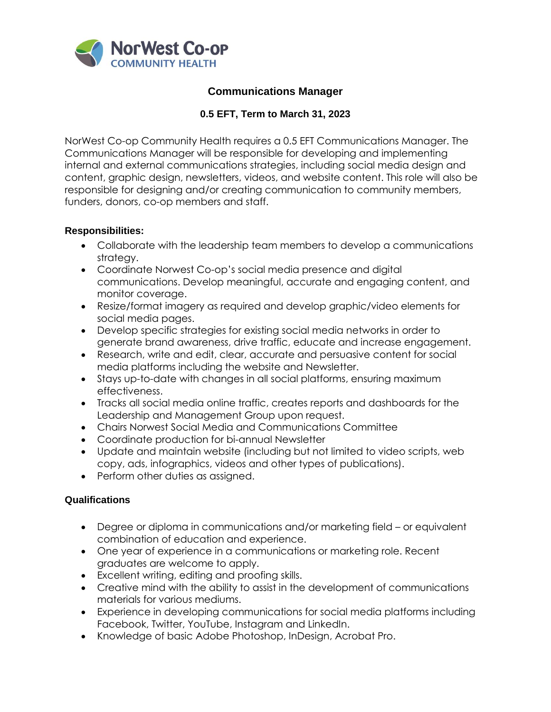

# **Communications Manager**

# **0.5 EFT, Term to March 31, 2023**

NorWest Co-op Community Health requires a 0.5 EFT Communications Manager. The Communications Manager will be responsible for developing and implementing internal and external communications strategies, including social media design and content, graphic design, newsletters, videos, and website content. This role will also be responsible for designing and/or creating communication to community members, funders, donors, co-op members and staff.

### **Responsibilities:**

- Collaborate with the leadership team members to develop a communications strategy.
- Coordinate Norwest Co-op's social media presence and digital communications. Develop meaningful, accurate and engaging content, and monitor coverage.
- Resize/format imagery as required and develop graphic/video elements for social media pages.
- Develop specific strategies for existing social media networks in order to generate brand awareness, drive traffic, educate and increase engagement.
- Research, write and edit, clear, accurate and persuasive content for social media platforms including the website and Newsletter.
- Stays up-to-date with changes in all social platforms, ensuring maximum effectiveness.
- Tracks all social media online traffic, creates reports and dashboards for the Leadership and Management Group upon request.
- Chairs Norwest Social Media and Communications Committee
- Coordinate production for bi-annual Newsletter
- Update and maintain website (including but not limited to video scripts, web copy, ads, infographics, videos and other types of publications).
- Perform other duties as assigned.

## **Qualifications**

- Degree or diploma in communications and/or marketing field or equivalent combination of education and experience.
- One year of experience in a communications or marketing role. Recent graduates are welcome to apply.
- Excellent writing, editing and proofing skills.
- Creative mind with the ability to assist in the development of communications materials for various mediums.
- Experience in developing communications for social media platforms including Facebook, Twitter, YouTube, Instagram and LinkedIn.
- Knowledge of basic Adobe Photoshop, InDesign, Acrobat Pro.